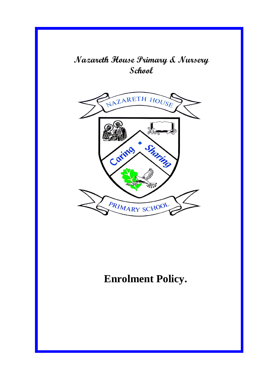## **Nazareth House Primary & Nursery School**



# **Enrolment Policy.**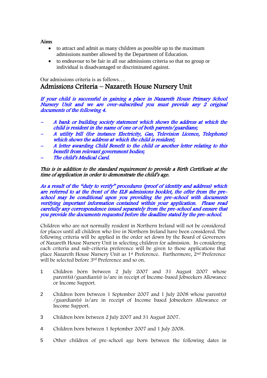**Aims**

- to attract and admit as many children as possible up to the maximum admissions number allowed by the Department of Education.
- to endeavour to be fair in all our admissions criteria so that no group or individual is disadvantaged or discriminated against.

## Our admissions criteria is as follows…. Admissions Criteria – Nazareth House Nursery Unit

If your child is successful in gaining a place in Nazareth House Primary School Nursery Unit and we are over-subscribed you must provide any 2 original documents of the following 4.

- A bank or building society statement which shows the address at which the child is resident in the name of one or of both parents/guardians;
- A utility bill (for instance Electricity, Gas, Television Licence, Telephone) which shows the address at which the child is resident;
- A letter awarding Child Benefit to the child or another letter relating to this benefit from relevant government bodies;
- The child's Medical Card.

#### This is in addition to the standard requirement to provide a Birth Certificate at the time of application in order to demonstrate the child's age.

As a result of the "duty to verify" procedures (proof of identity and address) which are referred to at the front of the ELB admissions booklet, the offer from the preschool may be conditional upon you providing the pre-school with documents verifying important information contained within your application. Please read carefully any correspondence issued separately from the pre-school and ensure that you provide the documents requested before the deadline stated by the pre-school.

Children who are not normally resident in Northern Ireland will not be considered for places until all children who live in Northern Ireland have been considered. The following criteria will be applied in the order set down by the Board of Governors of Nazareth House Nursery Unit in selecting children for admission. In considering each criteria and sub-criteria preference will be given to those applications that place Nazareth House Nursery Unit as 1st Preference. Furthermore, 2nd Preference will be selected before 3rd Preference and so on.

- 1 Children born between 2 July 2007 and 31 August 2007 whose parent(s)/guardian(s) is/are in receipt of Income-based Jobseekers Allowance or Income Support.
- 2 Children born between 1 September 2007 and 1 July 2008 whose parent(s) /guardian(s) is/are in receipt of Income based Jobseekers Allowance or Income Support.
- 3 Children born between 2 July 2007 and 31 August 2007.
- 4 Children born between 1 September 2007 and 1 July 2008.
- 5 Other children of pre-school age born between the following dates in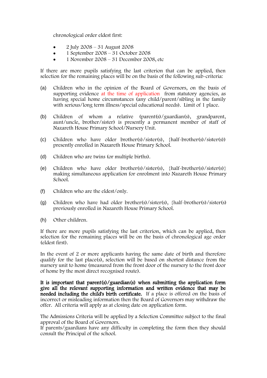chronological order eldest first:

- 2 July 2008 31 August 2008
- $\bullet$  1 September 2008 31 October 2008
- 1 November 2008 31 December 2008, etc

If there are more pupils satisfying the last criterion that can be applied, then selection for the remaining places will be on the basis of the following sub-criteria:

- (a) Children who in the opinion of the Board of Governors, on the basis of supporting evidence at the time of application from statutory agencies, as having special home circumstances (any child/parent/sibling in the family with serious/long term illness/special educational needs). Limit of 1 place.
- (b) Children of whom a relative (parent(s)/guardian(s), grandparent, aunt/uncle, brother/sister) is presently a permanent member of staff of Nazareth House Primary School/Nursery Unit.
- (c) Children who have older brother(s)/sister(s), {half-brother(s)/sister(s)) presently enrolled in Nazareth House Primary School.
- (d) Children who are twins (or multiple births).
- (e) Children who have older brother(s)/sister(s),  ${half-brother(s)}/{sister(s)}$ making simultaneous application for enrolment into Nazareth House Primary School.
- (f) Children who are the eldest/only.
- (g) Children who have had older brother(s)/sister(s), {half-brother(s)/sister(s) previously enrolled in Nazareth House Primary School.
- (h) Other children.

If there are more pupils satisfying the last criterion, which can be applied, then selection for the remaining places will be on the basis of chronological age order (eldest first).

In the event of 2 or more applicants having the same date of birth and therefore qualify for the last place(s), selection will be based on shortest distance from the nursery unit to home (measured from the front door of the nursery to the front door of home by the most direct recognised route).

It is important that parent(s)/guardian(s) when submitting the application form give all the relevant supporting information and written evidence that may be needed including the child's birth certificate. If a place is offered on the basis of incorrect or misleading information then the Board of Governors may withdraw the offer. All criteria will apply as at closing date on application form.

The Admissions Criteria will be applied by a Selection Committee subject to the final approval of the Board of Governors.

If parents/guardians have any difficulty in completing the form then they should consult the Principal of the school.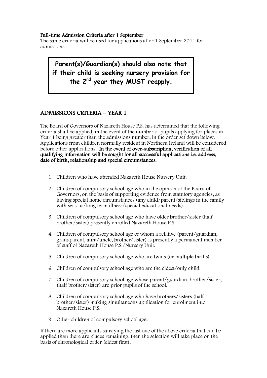#### Full-time Admission Criteria after 1 September

The same criteria will be used for applications after 1 September 2011 for admissions.

**Parent(s)/Guardian(s) should also note that if their child is seeking nursery provision for the 2nd year they MUST reapply.**

## ADMISSIONS CRITERIA – YEAR 1

The Board of Governors of Nazareth House P.S. has determined that the following criteria shall be applied, in the event of the number of pupils applying for places in Year 1 being greater than the admissions number, in the order set down below. Applications from children normally resident in Northern Ireland will be considered before other applications. In the event of over-subscription, verification of all qualifying information will be sought for all successful applications i.e. address, date of birth, relationship and special circumstances.

- 1. Children who have attended Nazareth House Nursery Unit.
- 2. Children of compulsory school age who in the opinion of the Board of Governors, on the basis of supporting evidence from statutory agencies, as having special home circumstances (any child/parent/siblings in the family with serious/long term illness/special educational needs).
- 3. Children of compulsory school age who have older brother/sister (half brother/sister) presently enrolled Nazareth House P.S.
- 4. Children of compulsory school age of whom a relative (parent/guardian, grandparent, aunt/uncle, brother/sister) is presently a permanent member of staff of Nazareth House P.S./Nursery Unit.
- 5. Children of compulsory school age who are twins (or multiple births).
- 6. Children of compulsory school age who are the eldest/only child.
- 7. Children of compulsory school age whose parent/guardian, brother/sister, (half brother/sister) are prior pupils of the school.
- 8. Children of compulsory school age who have brothers/sisters (half brother/sister) making simultaneous application for enrolment into Nazareth House P.S.
- 9. Other children of compulsory school age.

If there are more applicants satisfying the last one of the above criteria that can be applied than there are places remaining, then the selection will take place on the basis of chronological order (eldest first).